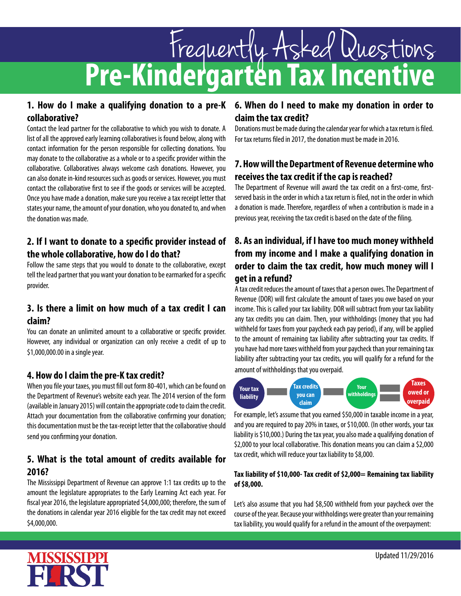# **Pre-Kindergarten Tax Incentive** Frequently Asked Questions

# **collaborative?**

Contact the lead partner for the collaborative to which you wish to donate. A list of all the approved early learning collaboratives is found below, along with contact information for the person responsible for collecting donations. You may donate to the collaborative as a whole or to a specific provider within the collaborative. Collaboratives always welcome cash donations. However, you can also donate in-kind resources such as goods or services. However, you must contact the collaborative first to see if the goods or services will be accepted. Once you have made a donation, make sure you receive a tax receipt letter that states your name, the amount of your donation, who you donated to, and when the donation was made.

# **2. If I want to donate to a specific provider instead of the whole collaborative, how do I do that?**

Follow the same steps that you would to donate to the collaborative, except tell the lead partner that you want your donation to be earmarked for a specific provider.

# **3. Is there a limit on how much of a tax credit I can claim?**

You can donate an unlimited amount to a collaborative or specific provider. However, any individual or organization can only receive a credit of up to \$1,000,000.00 in a single year.

# **4. How do I claim the pre-K tax credit?**

When you file your taxes, you must fill out form 80-401, which can be found on the Department of Revenue's website each year. The 2014 version of the form (available in January 2015) will contain the appropriate code to claim the credit. Attach your documentation from the collaborative confirming your donation; this documentation must be the tax-receipt letter that the collaborative should send you confirming your donation.

# **5. What is the total amount of credits available for 2016?**

The Mississippi Department of Revenue can approve 1:1 tax credits up to the amount the legislature appropriates to the Early Learning Act each year. For fiscal year 2016, the legislature appropriated \$4,000,000; therefore, the sum of the donations in calendar year 2016 eligible for the tax credit may not exceed \$4,000,000.

# **1. How do I make a qualifying donation to a pre-K 6. When do I need to make my donation in order to claim the tax credit?**

Donations must be made during the calendar year for which a tax return is filed. For tax returns filed in 2017, the donation must be made in 2016.

# **7. How will the Department of Revenue determine who receives the tax credit if the cap is reached?**

The Department of Revenue will award the tax credit on a first-come, firstserved basis in the order in which a tax return is filed, not in the order in which a donation is made. Therefore, regardless of when a contribution is made in a previous year, receiving the tax credit is based on the date of the filing.

# **8. As an individual, if I have too much money withheld from my income and I make a qualifying donation in order to claim the tax credit, how much money will I get in a refund?**

A tax credit reduces the amount of taxes that a person owes. The Department of Revenue (DOR) will first calculate the amount of taxes you owe based on your income. This is called your tax liability. DOR will subtract from your tax liability any tax credits you can claim. Then, your withholdings (money that you had withheld for taxes from your paycheck each pay period), if any, will be applied to the amount of remaining tax liability after subtracting your tax credits. If you have had more taxes withheld from your paycheck than your remaining tax liability after subtracting your tax credits, you will qualify for a refund for the amount of withholdings that you overpaid.



For example, let's assume that you earned \$50,000 in taxable income in a year, and you are required to pay 20% in taxes, or \$10,000. (In other words, your tax liability is \$10,000.) During the tax year, you also made a qualifying donation of \$2,000 to your local collaborative. This donation means you can claim a \$2,000 tax credit, which will reduce your tax liability to \$8,000.

#### **Tax liability of \$10,000- Tax credit of \$2,000= Remaining tax liability of \$8,000.**

Let's also assume that you had \$8,500 withheld from your paycheck over the course of the year. Because your withholdings were greater than your remaining tax liability, you would qualify for a refund in the amount of the overpayment: